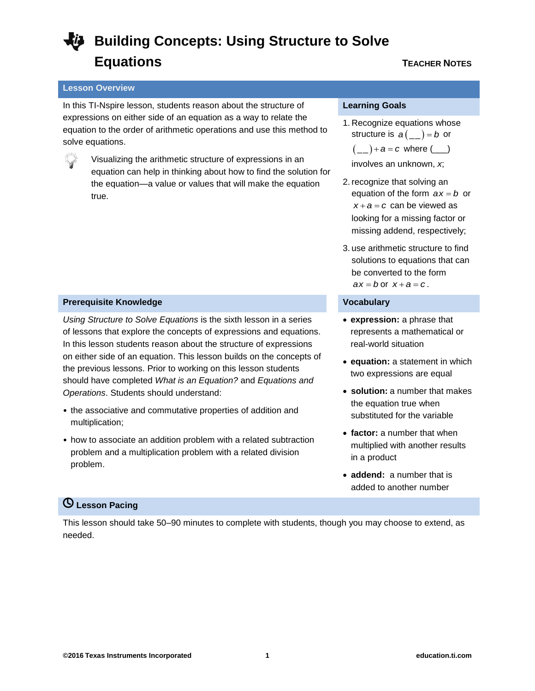#### **Lesson Overview**

In this TI-Nspire lesson, students reason about the structure of expressions on either side of an equation as a way to relate the equation to the order of arithmetic operations and use this method to solve equations.



Visualizing the arithmetic structure of expressions in an equation can help in thinking about how to find the solution for the equation—a value or values that will make the equation true.

#### **Learning Goals**

- 1. Recognize equations whose structure is  $a(\underline{\ }$  = b or  $\binom{(-)}{+} + a = c$  where  $\binom{(-)}{+}$ involves an unknown, *x*;
- 2. recognize that solving an equation of the form  $ax = b$  or  $x + a = c$  can be viewed as looking for a missing factor or missing addend, respectively;
- 3. use arithmetic structure to find solutions to equations that can be converted to the form  $ax = b$  or  $x + a = c$ .

- **expression:** a phrase that represents a mathematical or real-world situation
- **e** equation: a statement in which two expressions are equal
- **solution:** a number that makes the equation true when substituted for the variable
- **factor:** a number that when multiplied with another results in a product
- **addend:** a number that is added to another number

#### **Prerequisite Knowledge Vocabulary**

*Using Structure to Solve Equations* is the sixth lesson in a series of lessons that explore the concepts of expressions and equations. In this lesson students reason about the structure of expressions on either side of an equation. This lesson builds on the concepts of the previous lessons. Prior to working on this lesson students should have completed *What is an Equation?* and *Equations and Operations*. Students should understand:

- the associative and commutative properties of addition and multiplication;
- how to associate an addition problem with a related subtraction problem and a multiplication problem with a related division problem.

### **Lesson Pacing**

This lesson should take 50–90 minutes to complete with students, though you may choose to extend, as needed.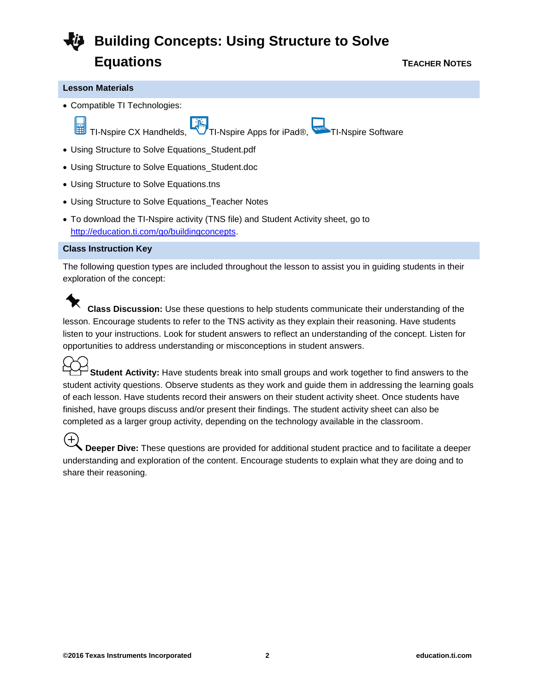#### **Lesson Materials**

 Compatible TI Technologies: TI-Nspire CX Handhelds, TI-Nspire Apps for iPad®, TI-Nspire Software Using Structure to Solve Equations\_Student.pdf Using Structure to Solve Equations\_Student.doc Using Structure to Solve Equations.tns Using Structure to Solve Equations\_Teacher Notes To download the TI-Nspire activity (TNS file) and Student Activity sheet, go to

#### **Class Instruction Key**

[http://education.ti.com/go/buildingconcepts.](http://education.ti.com/go/buildingconcepts)

The following question types are included throughout the lesson to assist you in guiding students in their exploration of the concept:

**Class Discussion:** Use these questions to help students communicate their understanding of the lesson. Encourage students to refer to the TNS activity as they explain their reasoning. Have students listen to your instructions. Look for student answers to reflect an understanding of the concept. Listen for opportunities to address understanding or misconceptions in student answers.

**Student Activity:** Have students break into small groups and work together to find answers to the student activity questions. Observe students as they work and guide them in addressing the learning goals of each lesson. Have students record their answers on their student activity sheet. Once students have finished, have groups discuss and/or present their findings. The student activity sheet can also be completed as a larger group activity, depending on the technology available in the classroom.

**Deeper Dive:** These questions are provided for additional student practice and to facilitate a deeper understanding and exploration of the content. Encourage students to explain what they are doing and to share their reasoning.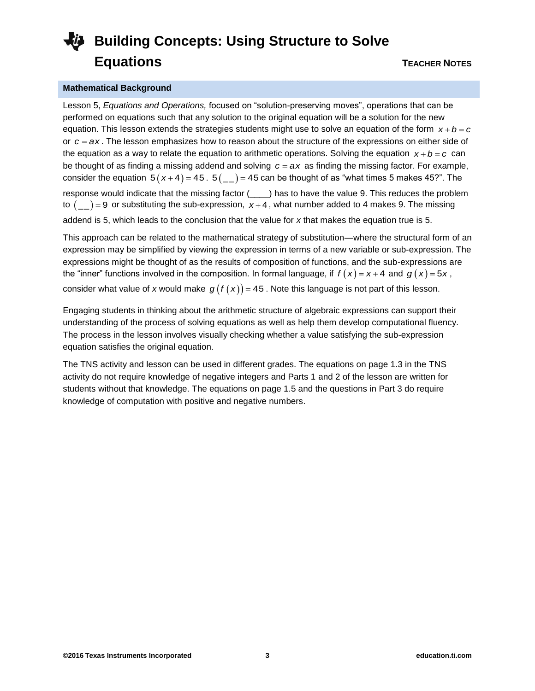### **Mathematical Background**

Lesson 5, *Equations and Operations,* focused on "solution-preserving moves", operations that can be performed on equations such that any solution to the original equation will be a solution for the new equation. This lesson extends the strategies students might use to solve an equation of the form  $x + b = c$ or  $c = ax$ . The lesson emphasizes how to reason about the structure of the expressions on either side of the equation as a way to relate the equation to arithmetic operations. Solving the equation  $x + b = c$  can be thought of as finding a missing addend and solving  $c = ax$  as finding the missing factor. For example, consider the equation  $5(x+4) = 45.5(\_\_)=45$  can be thought of as "what times 5 makes 45?". The response would indicate that the missing factor (\_\_\_\_) has to have the value 9. This reduces the problem to  $\binom{n}{r-1}$  = 9 or substituting the sub-expression,  $x+4$ , what number added to 4 makes 9. The missing addend is 5, which leads to the conclusion that the value for *x* that makes the equation true is 5.

This approach can be related to the mathematical strategy of substitution—where the structural form of an expression may be simplified by viewing the expression in terms of a new variable or sub-expression. The expressions might be thought of as the results of composition of functions, and the sub-expressions are the "inner" functions involved in the composition. In formal language, if  $f(x) = x + 4$  and  $g(x) = 5x$ ,

consider what value of *x* would make  $\,g\,(f\,(\,\mathrm{x}) )$  = 45 . Note this language is not part of this lesson.

Engaging students in thinking about the arithmetic structure of algebraic expressions can support their understanding of the process of solving equations as well as help them develop computational fluency. The process in the lesson involves visually checking whether a value satisfying the sub-expression equation satisfies the original equation.

The TNS activity and lesson can be used in different grades. The equations on page 1.3 in the TNS activity do not require knowledge of negative integers and Parts 1 and 2 of the lesson are written for students without that knowledge. The equations on page 1.5 and the questions in Part 3 do require knowledge of computation with positive and negative numbers.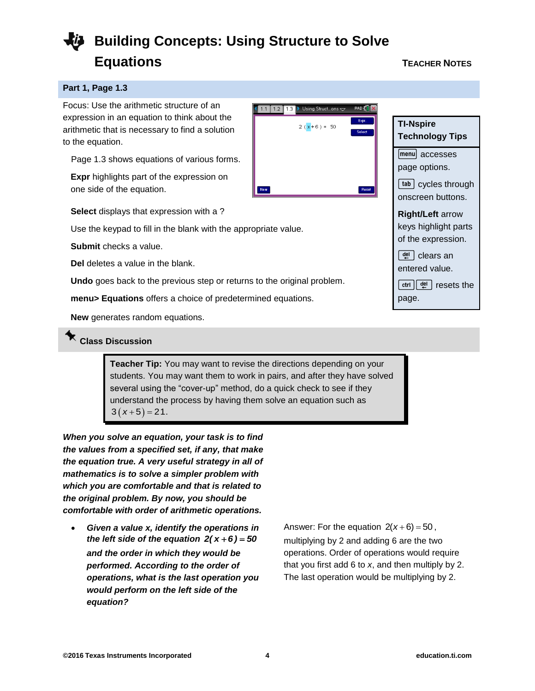$1.1$  1.2 1.3

New

Using Struct...ons

Reset

 $2(1x+6) = 50$ 

### **Part 1, Page 1.3**

Focus: Use the arithmetic structure of an expression in an equation to think about the arithmetic that is necessary to find a solution to the equation.

Page 1.3 shows equations of various forms.

**Expr** highlights part of the expression on one side of the equation.

**Select** displays that expression with a ?

Use the keypad to fill in the blank with the appropriate value.

**Submit** checks a value.

**Del** deletes a value in the blank.

**Undo** goes back to the previous step or returns to the original problem.

**menu> Equations** offers a choice of predetermined equations.

**New** generates random equations.

## **Class Discussion**

**Teacher Tip:** You may want to revise the directions depending on your students. You may want them to work in pairs, and after they have solved several using the "cover-up" method, do a quick check to see if they understand the process by having them solve an equation such as  $3(x+5) = 21$ .

*When you solve an equation, your task is to find the values from a specified set, if any, that make the equation true. A very useful strategy in all of mathematics is to solve a simpler problem with which you are comfortable and that is related to the original problem. By now, you should be comfortable with order of arithmetic operations.*

 *Given a value x, identify the operations in the left side of the equation*  $2(x+6) = 50$ *and the order in which they would be performed. According to the order of operations, what is the last operation you would perform on the left side of the equation?*

Answer: For the equation  $2(x+6) = 50$ , multiplying by 2 and adding 6 are the two operations. Order of operations would require that you first add 6 to *x*, and then multiply by 2. The last operation would be multiplying by 2.

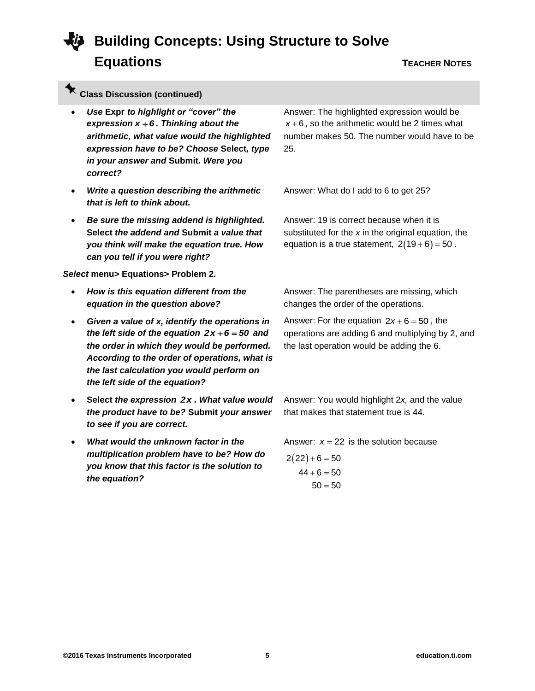## **Class Discussion (continued)**

- *Use* **Expr** *to highlight or "cover" the expression x 6 . Thinking about the arithmetic, what value would the highlighted expression have to be? Choose* **Select***, type in your answer and* **Submit***. Were you correct?*
- *Write a question describing the arithmetic that is left to think about.*
- *Be sure the missing addend is highlighted.*  **Select** *the addend and* **Submit** *a value that you think will make the equation true. How can you tell if you were right?*

*Select* **menu> Equations> Problem 2***.*

- *How is this equation different from the equation in the question above?*
- *Given a value of x, identify the operations in the left side of the equation*  $2x + 6 = 50$  and *the order in which they would be performed. According to the order of operations, what is the last calculation you would perform on the left side of the equation?*
- **Select** *the expression 2x . What value would the product have to be?* **Submit** *your answer to see if you are correct.*
- *What would the unknown factor in the multiplication problem have to be? How do you know that this factor is the solution to the equation?*

Answer: The highlighted expression would be  $x+6$ , so the arithmetic would be 2 times what number makes 50. The number would have to be 25.

Answer: What do I add to 6 to get 25?

Answer: 19 is correct because when it is substituted for the *x* in the original equation, the equation is a true statement,  $2(19+6) = 50$ .

Answer: The parentheses are missing, which changes the order of the operations.

Answer: For the equation  $2x + 6 = 50$ , the operations are adding 6 and multiplying by 2, and the last operation would be adding the 6.

Answer: You would highlight 2*x,* and the value that makes that statement true is 44.

Answer:  $x = 22$  is the solution because

$$
2(22) + 6 = 50
$$
  

$$
44 + 6 = 50
$$
  

$$
50 = 50
$$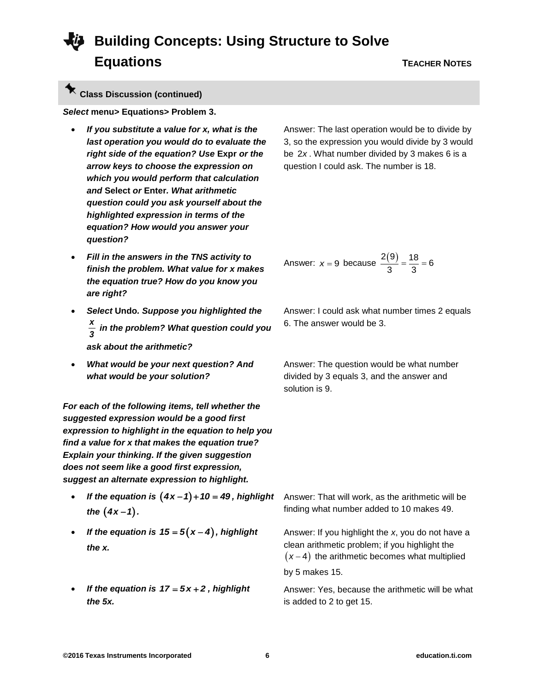### **Class Discussion (continued)**

*Select* **menu> Equations> Problem 3.**

- *If you substitute a value for x, what is the last operation you would do to evaluate the right side of the equation? Use* **Expr** *or the arrow keys to choose the expression on which you would perform that calculation and* **Select** *or* **Enter***. What arithmetic question could you ask yourself about the highlighted expression in terms of the equation? How would you answer your question?*
- *Fill in the answers in the TNS activity to finish the problem. What value for x makes the equation true? How do you know you are right?*
- *Select* **Undo***. Suppose you highlighted the x 3 in the problem? What question could you ask about the arithmetic?*
- *What would be your next question? And what would be your solution?*

*For each of the following items, tell whether the suggested expression would be a good first expression to highlight in the equation to help you find a value for x that makes the equation true? Explain your thinking. If the given suggestion does not seem like a good first expression, suggest an alternate expression to highlight.*

- **•** If the equation is  $(4x-1)+10=49$ , highlight *the*  $(4x - 1)$ .
- **•** If the equation is  $15 = 5(x-4)$ , highlight *the x.*
- **•** If the equation is  $17 = 5x + 2$ , highlight *the 5x.*

Answer: The last operation would be to divide by 3, so the expression you would divide by 3 would be 2*x* . What number divided by 3 makes 6 is a question I could ask. The number is 18.

Answer: 
$$
x = 9
$$
 because  $\frac{2(9)}{3} = \frac{18}{3} = 6$ 

Answer: I could ask what number times 2 equals 6. The answer would be 3.

Answer: The question would be what number divided by 3 equals 3, and the answer and solution is 9.

Answer: That will work, as the arithmetic will be finding what number added to 10 makes 49.

Answer: If you highlight the *x*, you do not have a clean arithmetic problem; if you highlight the  $(x-4)$  the arithmetic becomes what multiplied by 5 makes 15.

Answer: Yes, because the arithmetic will be what is added to 2 to get 15.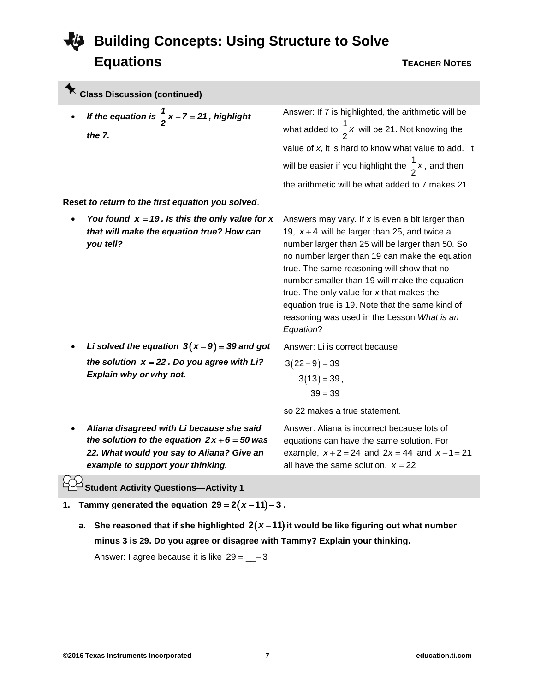**Class Discussion (continued)**

**•** If the equation is  $\frac{1}{2}x + 7 = 21$ , highlight *the 7.*

Answer: If 7 is highlighted, the arithmetic will be what added to  $\frac{1}{2}$ 2 *x* will be 21. Not knowing the value of *x*, it is hard to know what value to add. It will be easier if you highlight the  $\frac{1}{2}$  $\frac{1}{2}$  *x* , and then the arithmetic will be what added to 7 makes 21.

**Reset** *to return to the first equation you solved*.

You found  $x = 19$ . Is this the only value for x *that will make the equation true? How can you tell?*

Answers may vary. If *x* is even a bit larger than 19,  $x + 4$  will be larger than 25, and twice a number larger than 25 will be larger than 50. So no number larger than 19 can make the equation true. The same reasoning will show that no number smaller than 19 will make the equation true. The only value for *x* that makes the equation true is 19. Note that the same kind of reasoning was used in the Lesson *What is an Equation*?

- Li solved the equation  $3(x-9) = 39$  and got *the solution*  $x = 22$ *. Do you agree with Li? Explain why or why not.*
- *Aliana disagreed with Li because she said the solution to the equation*  $2x + 6 = 50$  was *22. What would you say to Aliana? Give an example to support your thinking.*

Answer: Li is correct because

$$
3(22-9) = 39
$$
  
3(13) = 39,  
39 = 39

so 22 makes a true statement.

Answer: Aliana is incorrect because lots of equations can have the same solution. For example,  $x+2 = 24$  and  $2x = 44$  and  $x-1 = 21$ all have the same solution,  $x = 22$ 

**Student Activity Questions—Activity 1**

- **1.** Tammy generated the equation  $29 = 2(x 11) 3$ .
	- a. She reasoned that if she highlighted 2(*x* 11) it would be like figuring out what number **minus 3 is 29. Do you agree or disagree with Tammy? Explain your thinking.** Answer: I agree because it is like  $29 = -3$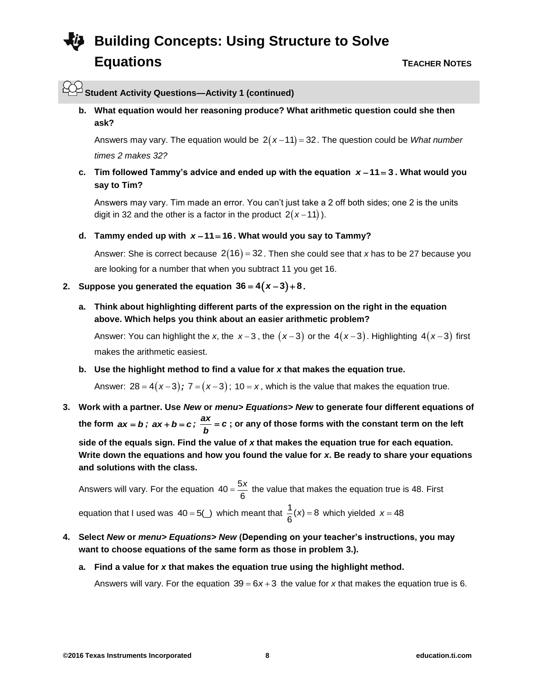**Student Activity Questions—Activity 1 (continued)**

**b. What equation would her reasoning produce? What arithmetic question could she then ask?**

Answers may vary. The equation would be  $2(x-11)$  = 32. The question could be *What number times 2 makes 32?*

c. Tim followed Tammy's advice and ended up with the equation  $x - 11 = 3$ . What would you **say to Tim?**

Answers may vary. Tim made an error. You can't just take a 2 off both sides; one 2 is the units digit in 32 and the other is a factor in the product  $2(x-11)$ ).

**d. Tammy ended up with**  *x* **11 16 . What would you say to Tammy?**

Answer: She is correct because 2(16) = 32 . Then she could see that *x* has to be 27 because you are looking for a number that when you subtract 11 you get 16.

- 2. Suppose you generated the equation  $36 = 4(x-3)+8$ .
	- **a. Think about highlighting different parts of the expression on the right in the equation above. Which helps you think about an easier arithmetic problem?**

Answer: You can highlight the x, the  $x-3$ , the  $(x-3)$  or the  $4(x-3)$ . Highlighting  $4(x-3)$  first makes the arithmetic easiest.

**b. Use the highlight method to find a value for** *x* **that makes the equation true.**

Answer:  $28 = 4(x-3)$ ;  $7 = (x-3)$ ;  $10 = x$ , which is the value that makes the equation true.

**3. Work with a partner. Use** *New* **or** *menu> Equations> New* **to generate four different equations of**  the form  $ax = b$ ;  $ax + b = c$ ;  $\frac{ax}{b} = c$ ; or any of those forms with the constant term on the left **side of the equals sign. Find the value of** *x* **that makes the equation true for each equation. Write down the equations and how you found the value for** *x***. Be ready to share your equations and solutions with the class.**

Answers will vary. For the equation  $40 = \frac{55}{6}$  $=\frac{5x}{2}$  the value that makes the equation true is 48. First equation that I used was  $40 = 5()$  which meant that  $\frac{1}{6}(x) = 8$  which yielded  $x = 48$ 

- **4. Select** *New* **or** *menu> Equations> New* **(Depending on your teacher's instructions, you may want to choose equations of the same form as those in problem 3.).**
	- **a. Find a value for** *x* **that makes the equation true using the highlight method.**

Answers will vary. For the equation  $39 = 6x + 3$  the value for x that makes the equation true is 6.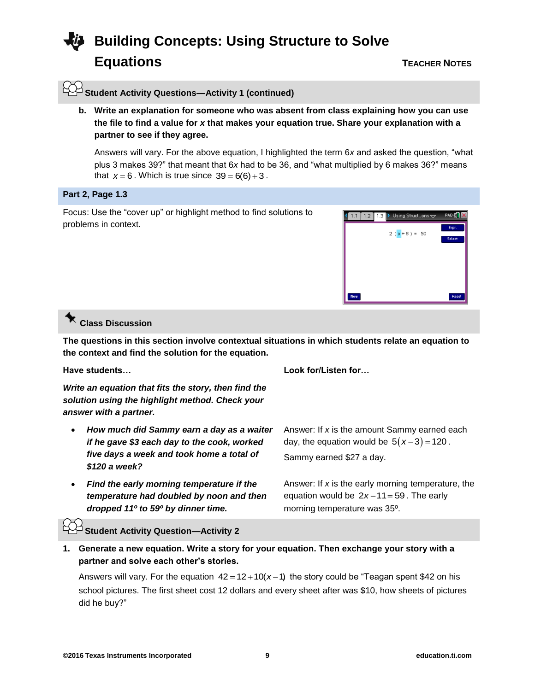

## **Student Activity Questions—Activity 1 (continued)**

**b. Write an explanation for someone who was absent from class explaining how you can use the file to find a value for** *x* **that makes your equation true. Share your explanation with a partner to see if they agree.**

Answers will vary. For the above equation, I highlighted the term 6*x* and asked the question, "what plus 3 makes 39?" that meant that 6*x* had to be 36, and "what multiplied by 6 makes 36?" means that  $x = 6$ . Which is true since  $39 = 6(6) + 3$ .

### **Part 2, Page 1.3**

Focus: Use the "cover up" or highlight method to find solutions to problems in context.



**The questions in this section involve contextual situations in which students relate an equation to the context and find the solution for the equation.**

*Write an equation that fits the story, then find the solution using the highlight method. Check your answer with a partner.*

- *How much did Sammy earn a day as a waiter if he gave \$3 each day to the cook, worked five days a week and took home a total of \$120 a week?*
- *Find the early morning temperature if the temperature had doubled by noon and then dropped 11º to 59º by dinner time.*

**Have students… Look for/Listen for…**

Answer: If *x* is the amount Sammy earned each day, the equation would be  $5(x-3) = 120$ . Sammy earned \$27 a day.

 $\begin{array}{|c|c|c|c|c|}\n\hline\n1.1 & 1.2 & 1.3\n\end{array}$ 

 ${\sf New}$ 

Using Struct...ons

 $2(y+6) = 50$ 

Answer: If *x* is the early morning temperature, the equation would be  $2x-11=59$ . The early morning temperature was 35º.

**Student Activity Question—Activity 2**

**1. Generate a new equation. Write a story for your equation. Then exchange your story with a partner and solve each other's stories.**

Answers will vary. For the equation  $42 = 12 + 10(x - 1)$  the story could be "Teagan spent \$42 on his school pictures. The first sheet cost 12 dollars and every sheet after was \$10, how sheets of pictures did he buy?"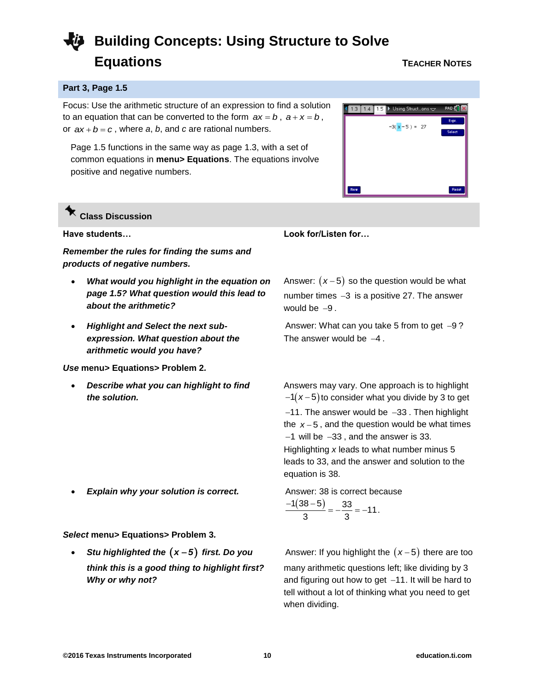### **Part 3, Page 1.5**

Focus: Use the arithmetic structure of an expression to find a solution to an equation that can be converted to the form  $ax = b$ ,  $a + x = b$ , or  $ax + b = c$ , where  $a, b$ , and  $c$  are rational numbers.

Page 1.5 functions in the same way as page 1.3, with a set of common equations in **menu> Equations**. The equations involve positive and negative numbers.



### **Class Discussion**

*Remember the rules for finding the sums and products of negative numbers.*

- *What would you highlight in the equation on page 1.5? What question would this lead to about the arithmetic?*
- *Highlight and Select the next subexpression. What question about the arithmetic would you have?*

### *Use* **menu> Equations> Problem 2***.*

 *Describe what you can highlight to find the solution.*

### **Have students… Look for/Listen for…**

Answer:  $(x-5)$  so the question would be what number times  $-3$  is a positive 27. The answer would be  $-9$ .

Answer: What can you take 5 from to get  $-9$ ? The answer would be  $-4$ .

Answers may vary. One approach is to highlight  $-1(x-5)$  to consider what you divide by 3 to get -11. The answer would be -33. Then highlight the  $x - 5$ , and the question would be what times  $-1$  will be  $-33$ , and the answer is 33. Highlighting *x* leads to what number minus 5 leads to 33, and the answer and solution to the equation is 38.

**Explain why your solution is correct.** Answer: 38 is correct because

$$
\frac{-1(38-5)}{3} = -\frac{33}{3} = -11.
$$

*Select* **menu> Equations> Problem 3***.*

 *Stu highlighted the x 5 first. Do you think this is a good thing to highlight first? Why or why not?*

Answer: If you highlight the  $(x-5)$  there are too many arithmetic questions left; like dividing by 3 and figuring out how to get  $-11$ . It will be hard to tell without a lot of thinking what you need to get when dividing.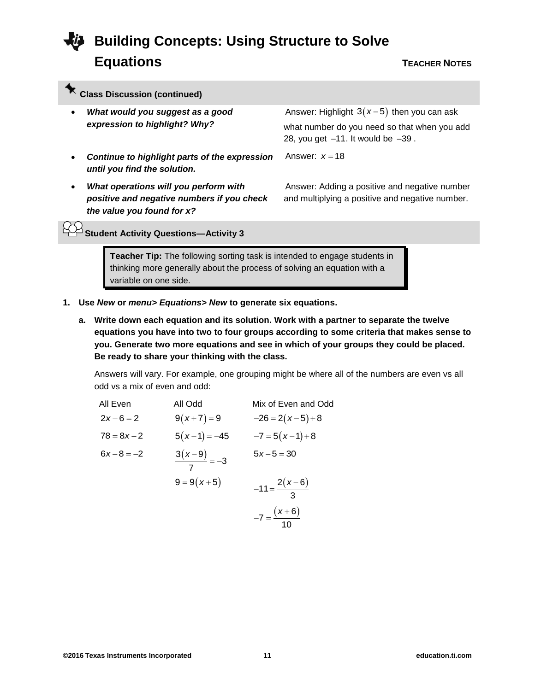| * Class Discussion (continued) |  |  |
|--------------------------------|--|--|
|                                |  |  |

- *What would you suggest as a good expression to highlight? Why?* Answer: Highlight  $3(x-5)$  then you can ask what number do you need so that when you add  $28$ , you get  $-11$ . It would be  $-39$ . *Continue to highlight parts of the expression until you find the solution.* Answer:  $x = 18$  *What operations will you perform with* 
	- *positive and negative numbers if you check the value you found for x?*

Answer: Adding a positive and negative number and multiplying a positive and negative number.



**Teacher Tip:** The following sorting task is intended to engage students in thinking more generally about the process of solving an equation with a variable on one side.

- **1. Use** *New* **or** *menu> Equations> New* **to generate six equations.**
	- **a. Write down each equation and its solution. Work with a partner to separate the twelve equations you have into two to four groups according to some criteria that makes sense to you. Generate two more equations and see in which of your groups they could be placed. Be ready to share your thinking with the class.**

Answers will vary. For example, one grouping might be where all of the numbers are even vs all odd vs a mix of even and odd:

| All Even      | All Odd                 | Mix of Even and Odd     |
|---------------|-------------------------|-------------------------|
| $2x-6=2$      | $9(x+7)=9$              | $-26 = 2(x-5)+8$        |
| $78 = 8x - 2$ | $5(x-1) = -45$          | $-7 = 5(x-1)+8$         |
| $6x-8=-2$     | $\frac{3(x-9)}{7} = -3$ | $5x - 5 = 30$           |
|               | $9 = 9(x+5)$            | $-11=\frac{2(x-6)}{3}$  |
|               |                         | $-7 = \frac{(x+6)}{10}$ |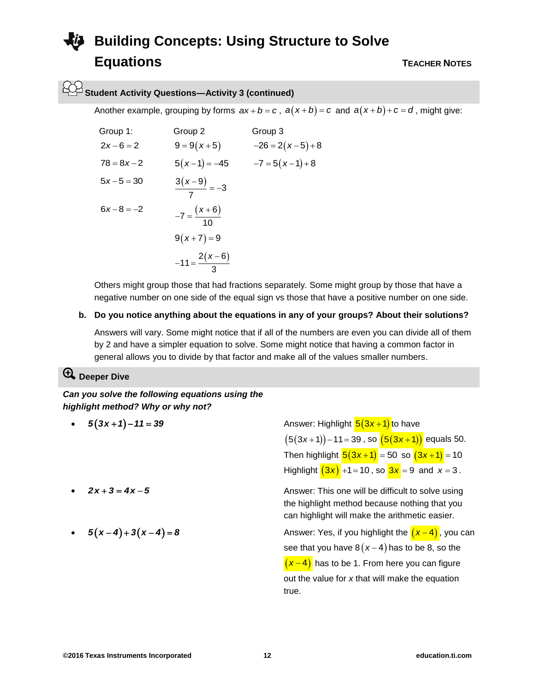## **Student Activity Questions—Activity 3 (continued)**

Another example, grouping by forms  $ax + b = c$ ,  $a(x + b) = c$  and  $a(x + b) + c = d$ , might give:

| Group 1:      | Group 2                 | Group 3          |
|---------------|-------------------------|------------------|
| $2x-6=2$      | $9 = 9(x+5)$            | $-26 = 2(x-5)+8$ |
| $78 = 8x - 2$ | $5(x-1) = -45$          | $-7 = 5(x-1)+8$  |
| $5x - 5 = 30$ | $\frac{3(x-9)}{7} = -3$ |                  |
| $6x-8=-2$     | $-7 = \frac{(x+6)}{10}$ |                  |
|               | $9(x+7)=9$              |                  |
|               | $-11=\frac{2(x-6)}{3}$  |                  |

Others might group those that had fractions separately. Some might group by those that have a negative number on one side of the equal sign vs those that have a positive number on one side.

### **b. Do you notice anything about the equations in any of your groups? About their solutions?**

Answers will vary. Some might notice that if all of the numbers are even you can divide all of them by 2 and have a simpler equation to solve. Some might notice that having a common factor in general allows you to divide by that factor and make all of the values smaller numbers.

## **Deeper Dive**

### *Can you solve the following equations using the highlight method? Why or why not?*

| • $5(3x+1)-11=39$        | Answer: Highlight $\frac{5(3x+1)}{x}$ to have                                                                                                        |
|--------------------------|------------------------------------------------------------------------------------------------------------------------------------------------------|
|                          | $(5(3x+1))-11=39$ , so $(5(3x+1))$ equals 50.                                                                                                        |
|                          | Then highlight $\frac{5(3x+1)}{2} = 50$ so $\frac{(3x+1)}{2} = 10$                                                                                   |
|                          | Highlight $(3x)$ +1 = 10, so $3x$ = 9 and $x$ = 3.                                                                                                   |
| $\bullet$<br>$2x+3=4x-5$ | Answer: This one will be difficult to solve using<br>the highlight method because nothing that you<br>can highlight will make the arithmetic easier. |
| • $5(x-4)+3(x-4)=8$      | Answer: Yes, if you highlight the $(x-4)$ , you can                                                                                                  |
|                          | see that you have $8(x-4)$ has to be 8, so the                                                                                                       |
|                          | $(x-4)$ has to be 1. From here you can figure                                                                                                        |

out the value for *x* that will make the equation true.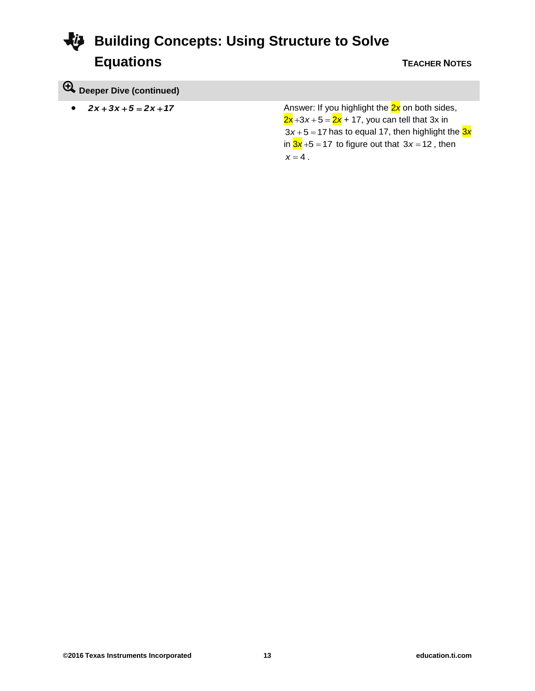## **Deeper Dive (continued)**

•  $2x + 3x + 5 = 2x + 17$ 

Answer: If you highlight the 2*x* on both sides,  $2x + 3x + 5 = 2x + 17$ , you can tell that 3x in 3x+5 = 17 has to equal 17, then highlight the <mark>3x</mark> in  $3x+5=17$  to figure out that  $3x=12$ , then  $x = 4$ .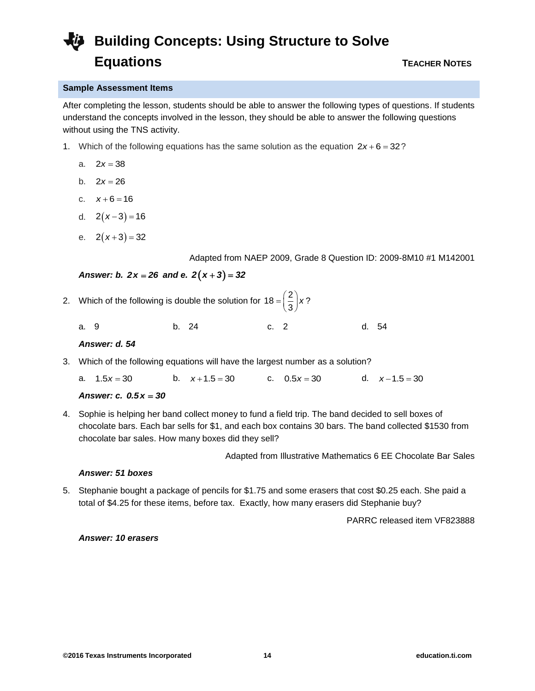#### **Sample Assessment Items**

After completing the lesson, students should be able to answer the following types of questions. If students understand the concepts involved in the lesson, they should be able to answer the following questions without using the TNS activity.

- 1. Which of the following equations has the same solution as the equation  $2x + 6 = 32$ ?
	- a.  $2x = 38$
	- b.  $2x = 26$
	- c.  $x+6=16$
	- d.  $2(x-3)=16$
	- e.  $2(x+3)=32$

Adapted from NAEP 2009, Grade 8 Question ID: 2009-8M10 #1 M142001

### *Answer: b. 2x* = 26 and e. 2(x+3) = 32

2. Which of the following is double the solution for  $18 = \left(\frac{2}{3}\right)x$ ?

a. 9 b. 24 c. 2 d. 54

#### *Answer: d. 54*

3. Which of the following equations will have the largest number as a solution?

a.  $1.5x = 30$ b.  $x + 1.5 = 30$ c.  $0.5x = 30$ d.  $x - 1.5 = 30$ 

### *Answer: c. 0.5x 30*

4. Sophie is helping her band collect money to fund a field trip. The band decided to sell boxes of chocolate bars. Each bar sells for \$1, and each box contains 30 bars. The band collected \$1530 from chocolate bar sales. How many boxes did they sell?

Adapted from Illustrative Mathematics 6 EE Chocolate Bar Sales

### *Answer: 51 boxes*

5. Stephanie bought a package of pencils for \$1.75 and some erasers that cost \$0.25 each. She paid a total of \$4.25 for these items, before tax. Exactly, how many erasers did Stephanie buy?

PARRC released item VF823888

### *Answer: 10 erasers*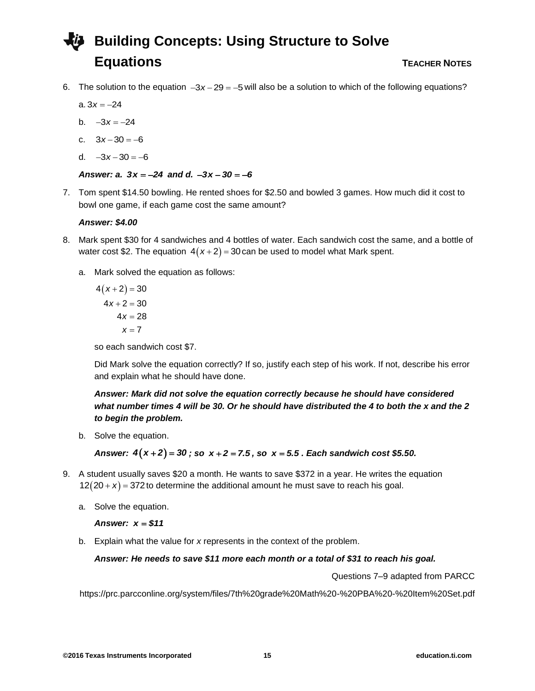6. The solution to the equation  $-3x - 29 = -5$  will also be a solution to which of the following equations?

a.  $3x = -24$ 

- b.  $-3x = -24$
- c.  $3x-30 = -6$
- d.  $-3x-30 = -6$

```
Answer: a. 3x = -24 and d. -3x - 30 = -6
```
7. Tom spent \$14.50 bowling. He rented shoes for \$2.50 and bowled 3 games. How much did it cost to bowl one game, if each game cost the same amount?

### *Answer: \$4.00*

- 8. Mark spent \$30 for 4 sandwiches and 4 bottles of water. Each sandwich cost the same, and a bottle of water cost \$2. The equation  $4(x+2)$  = 30 can be used to model what Mark spent.
	- a. Mark solved the equation as follows:

$$
4(x+2) = 30
$$
  

$$
4x+2 = 30
$$
  

$$
4x = 28
$$
  

$$
x = 7
$$

so each sandwich cost \$7.

Did Mark solve the equation correctly? If so, justify each step of his work. If not, describe his error and explain what he should have done.

*Answer: Mark did not solve the equation correctly because he should have considered what number times 4 will be 30. Or he should have distributed the 4 to both the x and the 2 to begin the problem.*

b. Solve the equation.

*Answer:*  $4(x+2) = 30$ ; so  $x+2 = 7.5$ , so  $x = 5.5$ . Each sandwich cost \$5.50.

- 9. A student usually saves \$20 a month. He wants to save \$372 in a year. He writes the equation  $12(20+x) = 372$  to determine the additional amount he must save to reach his goal.
	- a. Solve the equation.

### Answer:  $x = $11$

b. Explain what the value for *x* represents in the context of the problem.

### *Answer: He needs to save \$11 more each month or a total of \$31 to reach his goal.*

Questions 7–9 adapted from PARCC

https://prc.parcconline.org/system/files/7th%20grade%20Math%20-%20PBA%20-%20Item%20Set.pdf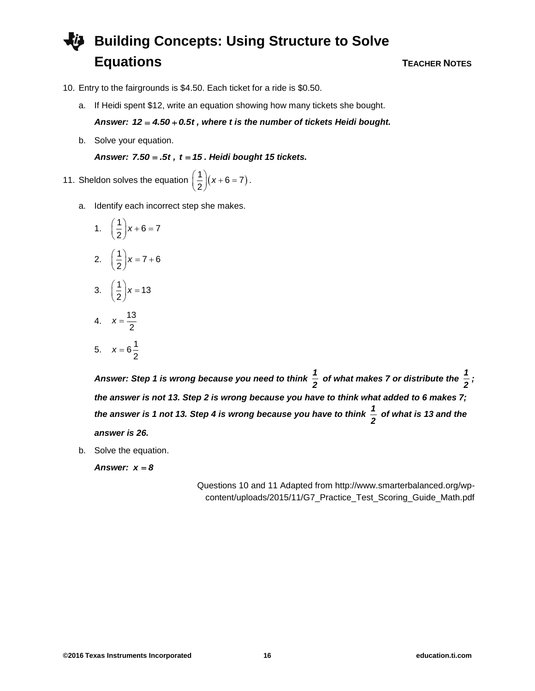10. Entry to the fairgrounds is \$4.50. Each ticket for a ride is \$0.50.

- a. If Heidi spent \$12, write an equation showing how many tickets she bought. Answer:  $12 = 4.50 + 0.5t$ , where t is the number of tickets Heidi bought.
- b. Solve your equation.

*Answer: 7.50 .5t , t 15 . Heidi bought 15 tickets.*

11. Sheldon solves the equation  $\left(\frac{1}{2}\right)(x+6=7)$ .

a. Identify each incorrect step she makes.

1. 
$$
\left(\frac{1}{2}\right)x+6=7
$$
  
2. 
$$
\left(\frac{1}{2}\right)x=7+6
$$
  
3. 
$$
\left(\frac{1}{2}\right)x=13
$$

$$
4. \quad x = \frac{13}{2}
$$

$$
5. \quad x = 6\frac{1}{2}
$$

*Answer: Step 1 is wrong because you need to think 1*  $\frac{1}{2}$  of what makes 7 or distribute the  $\frac{1}{2}$  $\frac{1}{2}$ ; *the answer is not 13. Step 2 is wrong because you have to think what added to 6 makes 7; the answer is 1 not 13. Step 4 is wrong because you have to think*  $\frac{1}{2}$ *2 of what is 13 and the answer is 26.*

b. Solve the equation.

*Answer: x 8*

Questions 10 and 11 Adapted from http://www.smarterbalanced.org/wpcontent/uploads/2015/11/G7\_Practice\_Test\_Scoring\_Guide\_Math.pdf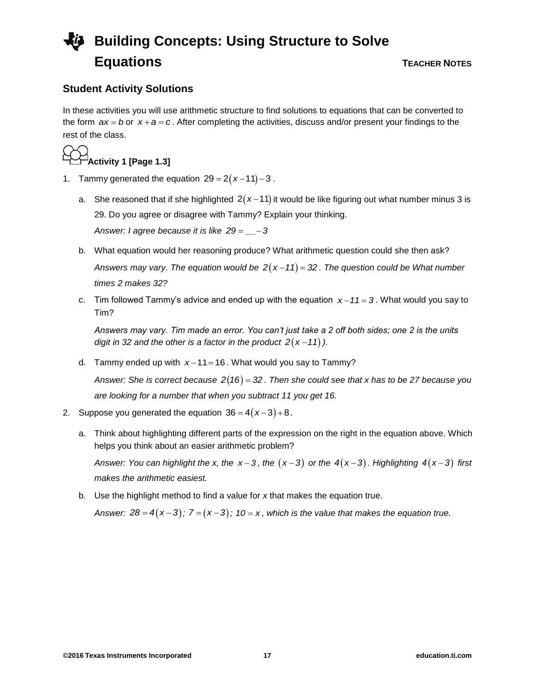## **Student Activity Solutions**

In these activities you will use arithmetic structure to find solutions to equations that can be converted to the form  $ax = b$  or  $x + a = c$ . After completing the activities, discuss and/or present your findings to the rest of the class.

## **Activity 1 [Page 1.3]**

- 1. Tammy generated the equation  $29 = 2(x-11)-3$ .
	- a. She reasoned that if she highlighted 2(x-11) it would be like figuring out what number minus 3 is 29. Do you agree or disagree with Tammy? Explain your thinking. *Answer: I agree because it is like 29 \_\_ 3*
	- b. What equation would her reasoning produce? What arithmetic question could she then ask? Answers may vary. The equation would be  $2(x-11) = 32$ . The question could be What number *times 2 makes 32?*
	- c. Tim followed Tammy's advice and ended up with the equation  $x 11 = 3$ . What would you say to Tim?

*Answers may vary. Tim made an error. You can't just take a 2 off both sides; one 2 is the units digit in 32 and the other is a factor in the product*  $2(x-11)$ *.* 

d. Tammy ended up with  $x-11=16$ . What would you say to Tammy?

Answer: She is correct because 2(16) = 32. Then she could see that x has to be 27 because you *are looking for a number that when you subtract 11 you get 16.*

- 2. Suppose you generated the equation  $36 = 4(x-3)+8$ .
	- a. Think about highlighting different parts of the expression on the right in the equation above. Which helps you think about an easier arithmetic problem?

Answer: You can highlight the x, the  $x - 3$ , the  $(x - 3)$  or the  $4(x - 3)$ . Highlighting  $4(x - 3)$  first *makes the arithmetic easiest.* 

b. Use the highlight method to find a value for *x* that makes the equation true.

Answer:  $28 = 4(x-3)$ ;  $7 = (x-3)$ ;  $10 = x$ , which is the value that makes the equation true.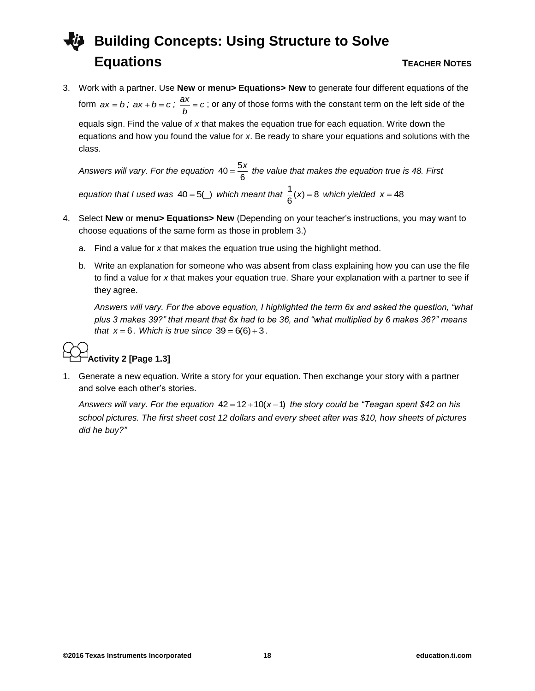3. Work with a partner. Use **New** or **menu> Equations> New** to generate four different equations of the form  $ax = b$ ;  $ax + b = c$ ;  $\frac{ax}{b} = c$ ; or any of those forms with the constant term on the left side of the

equals sign. Find the value of *x* that makes the equation true for each equation. Write down the equations and how you found the value for *x*. Be ready to share your equations and solutions with the class.

Answers will vary. For the equation  $40 = \frac{55}{6}$  $=\frac{5x}{2}$  the value that makes the equation true is 48. First equation that I used was  $40 = 5($  *which meant that*  $\frac{1}{6}(x) = 8$  which yielded  $x = 48$ 

- 4. Select **New** or **menu> Equations> New** (Depending on your teacher's instructions, you may want to choose equations of the same form as those in problem 3.)
	- a. Find a value for *x* that makes the equation true using the highlight method.
	- b. Write an explanation for someone who was absent from class explaining how you can use the file to find a value for *x* that makes your equation true. Share your explanation with a partner to see if they agree.

*Answers will vary. For the above equation, I highlighted the term 6x and asked the question, "what plus 3 makes 39?" that meant that 6x had to be 36, and "what multiplied by 6 makes 36?" means that*  $x = 6$ . *Which is true since*  $39 = 6(6) + 3$ .

## **Activity 2 [Page 1.3]**

1. Generate a new equation. Write a story for your equation. Then exchange your story with a partner and solve each other's stories.

Answers will vary. For the equation  $42 = 12 + 10(x - 1)$  the story could be "Teagan spent \$42 on his *school pictures. The first sheet cost 12 dollars and every sheet after was \$10, how sheets of pictures did he buy?"*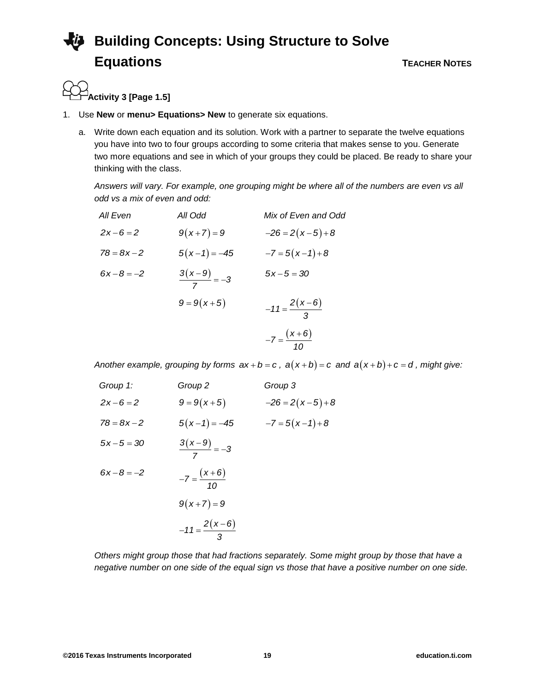# **Activity 3 [Page 1.5]**

- 1. Use **New** or **menu> Equations> New** to generate six equations.
	- a. Write down each equation and its solution. Work with a partner to separate the twelve equations you have into two to four groups according to some criteria that makes sense to you. Generate two more equations and see in which of your groups they could be placed. Be ready to share your thinking with the class.

*Answers will vary. For example, one grouping might be where all of the numbers are even vs all odd vs a mix of even and odd:*

| All Even                  | All Odd                    | Mix of Even and Odd  |
|---------------------------|----------------------------|----------------------|
| $2x - 6 = 2$              | $9(x + 7) = 9$             | $-26 = 2(x - 5) + 8$ |
| $78 = 8x - 2$             | $5(x - 1) = -45$           | $-7 = 5(x - 1) + 8$  |
| $6x - 8 = -2$             | $\frac{3(x - 9)}{7} = -3$  | $5x - 5 = 30$        |
| $9 = 9(x + 5)$            | $-11 = \frac{2(x - 6)}{3}$ |                      |
| $-7 = \frac{(x + 6)}{10}$ |                            |                      |

*Another example, grouping by forms*  $ax + b = c$ *,*  $a(x + b) = c$  *and*  $a(x + b) + c = d$ *, might give:* 

| Group 1:      | Group 2                 | Group 3          |
|---------------|-------------------------|------------------|
| $2x-6=2$      | $9 = 9(x+5)$            | $-26 = 2(x-5)+8$ |
| $78 = 8x - 2$ | $5(x-1) = -45$          | $-7 = 5(x-1)+8$  |
| $5x - 5 = 30$ | $\frac{3(x-9)}{7} = -3$ |                  |
| $6x - 8 = -2$ | $-7 = \frac{(x+6)}{10}$ |                  |
|               | $9(x+7) = 9$            |                  |
|               | $-11=\frac{2(x-6)}{3}$  |                  |

*Others might group those that had fractions separately. Some might group by those that have a negative number on one side of the equal sign vs those that have a positive number on one side.*